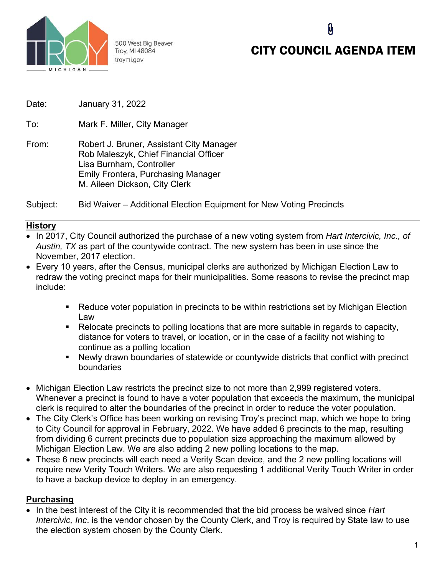

500 West Big Beaver Troy, MI 48084 troymi.gov

# CITY COUNCIL AGENDA ITEM

 $\mathbf{\theta}$ 

Date: January 31, 2022

To: Mark F. Miller, City Manager

From: Robert J. Bruner, Assistant City Manager Rob Maleszyk, Chief Financial Officer Lisa Burnham, Controller Emily Frontera, Purchasing Manager M. Aileen Dickson, City Clerk

Subject: Bid Waiver – Additional Election Equipment for New Voting Precincts

### **History**

- In 2017, City Council authorized the purchase of a new voting system from *Hart Intercivic, Inc., of Austin, TX* as part of the countywide contract. The new system has been in use since the November, 2017 election.
- Every 10 years, after the Census, municipal clerks are authorized by Michigan Election Law to redraw the voting precinct maps for their municipalities. Some reasons to revise the precinct map include:
	- Reduce voter population in precincts to be within restrictions set by Michigan Election Law
	- Relocate precincts to polling locations that are more suitable in regards to capacity, distance for voters to travel, or location, or in the case of a facility not wishing to continue as a polling location
	- Newly drawn boundaries of statewide or countywide districts that conflict with precinct boundaries
- Michigan Election Law restricts the precinct size to not more than 2,999 registered voters. Whenever a precinct is found to have a voter population that exceeds the maximum, the municipal clerk is required to alter the boundaries of the precinct in order to reduce the voter population.
- The City Clerk's Office has been working on revising Troy's precinct map, which we hope to bring to City Council for approval in February, 2022. We have added 6 precincts to the map, resulting from dividing 6 current precincts due to population size approaching the maximum allowed by Michigan Election Law. We are also adding 2 new polling locations to the map.
- These 6 new precincts will each need a Verity Scan device, and the 2 new polling locations will require new Verity Touch Writers. We are also requesting 1 additional Verity Touch Writer in order to have a backup device to deploy in an emergency.

### **Purchasing**

• In the best interest of the City it is recommended that the bid process be waived since *Hart Intercivic, Inc*. is the vendor chosen by the County Clerk, and Troy is required by State law to use the election system chosen by the County Clerk.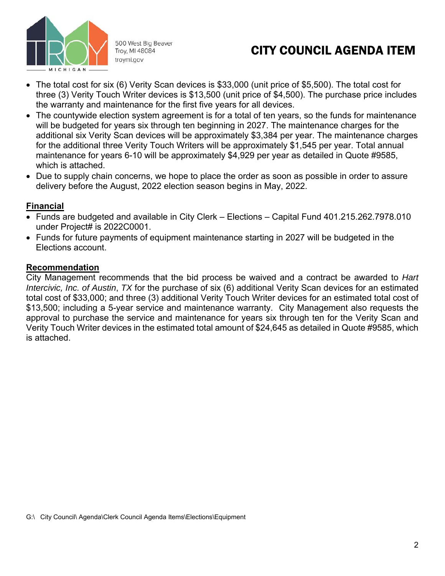

500 West Big Beaver Troy, MI 48084 troymi.gov

## CITY COUNCIL AGENDA ITEM

- The total cost for six (6) Verity Scan devices is \$33,000 (unit price of \$5,500). The total cost for three (3) Verity Touch Writer devices is \$13,500 (unit price of \$4,500). The purchase price includes the warranty and maintenance for the first five years for all devices.
- The countywide election system agreement is for a total of ten years, so the funds for maintenance will be budgeted for years six through ten beginning in 2027. The maintenance charges for the additional six Verity Scan devices will be approximately \$3,384 per year. The maintenance charges for the additional three Verity Touch Writers will be approximately \$1,545 per year. Total annual maintenance for years 6-10 will be approximately \$4,929 per year as detailed in Quote #9585, which is attached.
- Due to supply chain concerns, we hope to place the order as soon as possible in order to assure delivery before the August, 2022 election season begins in May, 2022.

### **Financial**

- Funds are budgeted and available in City Clerk Elections Capital Fund 401.215.262.7978.010 under Project# is 2022C0001.
- Funds for future payments of equipment maintenance starting in 2027 will be budgeted in the Elections account.

### **Recommendation**

City Management recommends that the bid process be waived and a contract be awarded to *Hart Intercivic, Inc. of Austin*, *TX* for the purchase of six (6) additional Verity Scan devices for an estimated total cost of \$33,000; and three (3) additional Verity Touch Writer devices for an estimated total cost of \$13,500; including a 5-year service and maintenance warranty. City Management also requests the approval to purchase the service and maintenance for years six through ten for the Verity Scan and Verity Touch Writer devices in the estimated total amount of \$24,645 as detailed in Quote #9585, which is attached.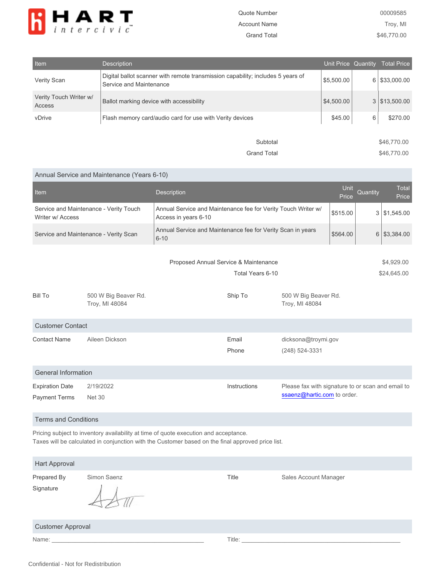

Grand Total \$46,770.00

| Item                             | <b>Description</b>                                                                                         | Unit Price Quantity |                | <b>Total Price</b> |
|----------------------------------|------------------------------------------------------------------------------------------------------------|---------------------|----------------|--------------------|
| Verity Scan                      | Digital ballot scanner with remote transmission capability; includes 5 years of<br>Service and Maintenance | \$5,500.00          | 6 <sup>1</sup> | \$33,000.00        |
| Verity Touch Writer w/<br>Access | Ballot marking device with accessibility                                                                   | \$4,500.00          |                | 3   \$13,500.00    |
| vDrive                           | Flash memory card/audio card for use with Verity devices                                                   | \$45.00             | 6              | \$270.00           |
|                                  | Subtotal                                                                                                   |                     |                | \$46,770.00        |

#### Annual Service and Maintenance (Years 6-10)

| Item                                                       |                                        | Description                                                                           |                |                                                                                  | Unit<br>Price             | Quantity | <b>Total</b><br>Price |  |
|------------------------------------------------------------|----------------------------------------|---------------------------------------------------------------------------------------|----------------|----------------------------------------------------------------------------------|---------------------------|----------|-----------------------|--|
| Service and Maintenance - Verity Touch<br>Writer w/ Access |                                        | Annual Service and Maintenance fee for Verity Touch Writer w/<br>Access in years 6-10 |                |                                                                                  | \$515.00                  | 3        | \$1,545.00            |  |
| Service and Maintenance - Verity Scan                      |                                        | Annual Service and Maintenance fee for Verity Scan in years<br>$6 - 10$               |                |                                                                                  | \$564.00                  |          | 6 \$3,384.00          |  |
|                                                            |                                        | Proposed Annual Service & Maintenance<br>Total Years 6-10                             |                |                                                                                  | \$4,929.00<br>\$24,645.00 |          |                       |  |
| Bill To                                                    | 500 W Big Beaver Rd.<br>Troy, MI 48084 |                                                                                       | Ship To        | 500 W Big Beaver Rd.<br>Troy, MI 48084                                           |                           |          |                       |  |
| <b>Customer Contact</b>                                    |                                        |                                                                                       |                |                                                                                  |                           |          |                       |  |
| <b>Contact Name</b>                                        | Aileen Dickson                         |                                                                                       | Email<br>Phone | dicksona@troymi.gov<br>(248) 524-3331                                            |                           |          |                       |  |
| General Information                                        |                                        |                                                                                       |                |                                                                                  |                           |          |                       |  |
| <b>Expiration Date</b><br><b>Payment Terms</b>             | 2/19/2022<br><b>Net 30</b>             |                                                                                       | Instructions   | Please fax with signature to or scan and email to<br>ssaenz@hartic.com to order. |                           |          |                       |  |

Terms and Conditions

Pricing subject to inventory availability at time of quote execution and acceptance. Taxes will be calculated in conjunction with the Customer based on the final approved price list.

| Hart Approval     |             |       |                       |  |  |
|-------------------|-------------|-------|-----------------------|--|--|
| Prepared By       | Simon Saenz | Title | Sales Account Manager |  |  |
| Signature         |             |       |                       |  |  |
| Customer Approval |             |       |                       |  |  |

Name: \_\_\_\_\_\_\_\_\_\_\_\_\_\_\_\_\_\_\_\_\_\_\_\_\_\_\_\_\_\_\_\_\_\_\_\_\_\_\_\_\_\_\_\_\_\_ Title: \_\_\_\_\_\_\_\_\_\_\_\_\_\_\_\_\_\_\_\_\_\_\_\_\_\_\_\_\_\_\_\_\_\_\_\_\_\_\_\_\_\_\_\_\_\_\_\_